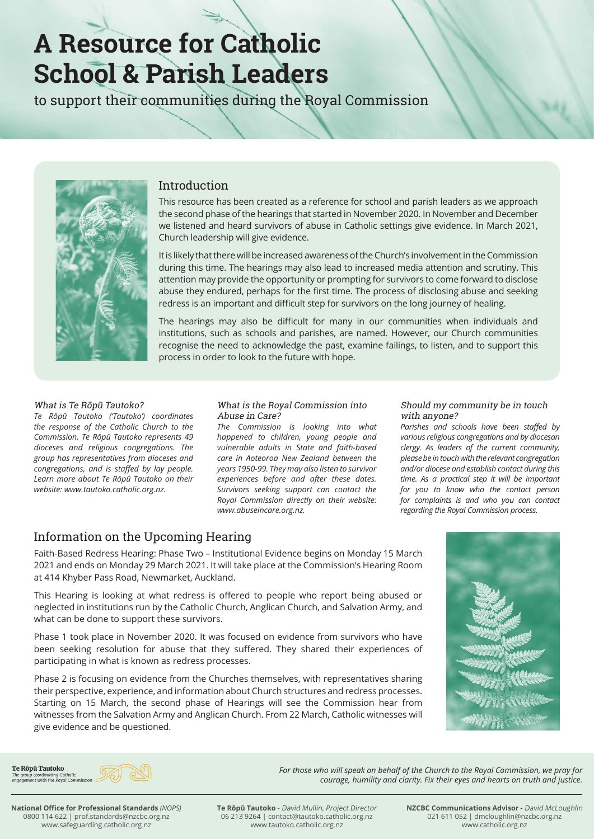# **A Resource for Catholic School & Parish Leaders**

to support their communities during the Royal Commission

 $R = \frac{1}{2}$ 



## Introduction

This resource has been created as a reference for school and parish leaders as we approach the second phase of the hearings that started in November 2020. In November and December we listened and heard survivors of abuse in Catholic settings give evidence. In March 2021, Church leadership will give evidence.

It is likely that there will be increased awareness of the Church's involvement in the Commission during this time. The hearings may also lead to increased media attention and scrutiny. This attention may provide the opportunity or prompting for survivors to come forward to disclose abuse they endured, perhaps for the first time. The process of disclosing abuse and seeking redress is an important and difficult step for survivors on the long journey of healing.

The hearings may also be difficult for many in our communities when individuals and institutions, such as schools and parishes, are named. However, our Church communities recognise the need to acknowledge the past, examine failings, to listen, and to support this process in order to look to the future with hope.

#### What is Te Rōpū Tautoko?

*Te Rōpū Tautoko ('Tautoko') coordinates the response of the Catholic Church to the Commission. Te Rōpū Tautoko represents 49 dioceses and religious congregations. The group has representatives from dioceses and congregations, and is staffed by lay people. Learn more about Te Rōpū Tautoko on their website: www.tautoko.catholic.org.nz.*

#### What is the Royal Commission into Abuse in Care?

*The Commission is looking into what happened to children, young people and vulnerable adults in State and faith-based care in Aoteoroa New Zealand between the years 1950-99. They may also listen to survivor experiences before and after these dates. Survivors seeking support can contact the Royal Commission directly on their website: www.abuseincare.org.nz.*

#### Should my community be in touch with anyone?

*Parishes and schools have been staffed by various religious congregations and by diocesan clergy. As leaders of the current community, please be in touch with the relevant congregation and/or diocese and establish contact during this time. As a practical step it will be important for you to know who the contact person for complaints is and who you can contact regarding the Royal Commission process.*

# Information on the Upcoming Hearing

Faith-Based Redress Hearing: Phase Two – Institutional Evidence begins on Monday 15 March 2021 and ends on Monday 29 March 2021. It will take place at the Commission's Hearing Room at 414 Khyber Pass Road, Newmarket, Auckland.

This Hearing is looking at what redress is offered to people who report being abused or neglected in institutions run by the Catholic Church, Anglican Church, and Salvation Army, and what can be done to support these survivors.

Phase 1 took place in November 2020. It was focused on evidence from survivors who have been seeking resolution for abuse that they suffered. They shared their experiences of participating in what is known as redress processes.

Phase 2 is focusing on evidence from the Churches themselves, with representatives sharing their perspective, experience, and information about Church structures and redress processes. Starting on 15 March, the second phase of Hearings will see the Commission hear from witnesses from the Salvation Army and Anglican Church. From 22 March, Catholic witnesses will give evidence and be questioned.



Te Rōpū Tautoko The group coordinating Catholic<br>engagement with the Royal Commission



**National Office for Professional Standards** *(NOPS)* 0800 114 622 | prof.standards@nzcbc.org.nz www.safeguarding.catholic.org.nz

**Te Rōpū Tautoko -** David Mullin, Project Director 06 213 9264 | contact@tautoko.catholic.org.nz www.tautoko.catholic.org.nz

**NZCBC Communications Advisor -** David McLoughlin 021 611 052 | dmcloughlin@nzcbc.org.nz www.catholic.org.nz

*For those who will speak on behalf of the Church to the Royal Commission, we pray for* 

*courage, humility and clarity. Fix their eyes and hearts on truth and justice.*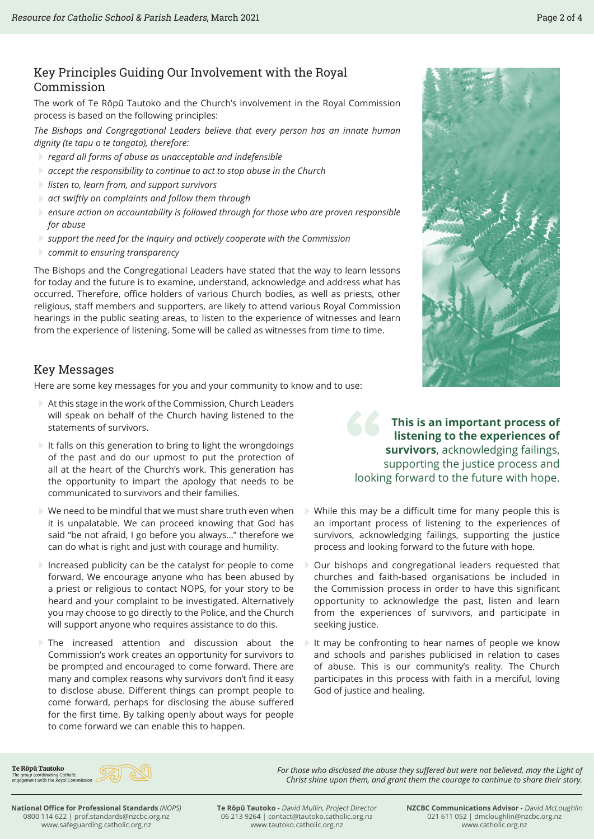## Key Principles Guiding Our Involvement with the Royal Commission

The work of Te Rōpū Tautoko and the Church's involvement in the Royal Commission process is based on the following principles:

*The Bishops and Congregational Leaders believe that every person has an innate human dignity (te tapu o te tangata), therefore:*

- E*regard all forms of abuse as unacceptable and indefensible*
- E*accept the responsibility to continue to act to stop abuse in the Church*
- E*listen to, learn from, and support survivors*
- E*act swiftly on complaints and follow them through*
- E*ensure action on accountability is followed through for those who are proven responsible for abuse*
- E*support the need for the Inquiry and actively cooperate with the Commission*
- E*commit to ensuring transparency*

The Bishops and the Congregational Leaders have stated that the way to learn lessons for today and the future is to examine, understand, acknowledge and address what has occurred. Therefore, office holders of various Church bodies, as well as priests, other religious, staff members and supporters, are likely to attend various Royal Commission hearings in the public seating areas, to listen to the experience of witnesses and learn from the experience of listening. Some will be called as witnesses from time to time.

### Key Messages

Here are some key messages for you and your community to know and to use:

- EAt this stage in the work of the Commission, Church Leaders will speak on behalf of the Church having listened to the statements of survivors.
- $\blacktriangleright$  It falls on this generation to bring to light the wrongdoings of the past and do our upmost to put the protection of all at the heart of the Church's work. This generation has the opportunity to impart the apology that needs to be communicated to survivors and their families.
- $\triangleright$  We need to be mindful that we must share truth even when it is unpalatable. We can proceed knowing that God has said "be not afraid, I go before you always…" therefore we can do what is right and just with courage and humility.
- $\blacktriangleright$  Increased publicity can be the catalyst for people to come forward. We encourage anyone who has been abused by a priest or religious to contact NOPS, for your story to be heard and your complaint to be investigated. Alternatively you may choose to go directly to the Police, and the Church will support anyone who requires assistance to do this.
- $\triangleright$  The increased attention and discussion about the Commission's work creates an opportunity for survivors to be prompted and encouraged to come forward. There are many and complex reasons why survivors don't find it easy to disclose abuse. Different things can prompt people to come forward, perhaps for disclosing the abuse suffered for the first time. By talking openly about ways for people to come forward we can enable this to happen.

**This is an important process of<br>
<b>Externing to the experiences of<br>
<b>Survivors**, acknowledging failings,<br>
supporting the justice process and<br>
looking forward to the future with hone **listening to the experiences of survivors**, acknowledging failings, supporting the justice process and looking forward to the future with hope.

- $\blacktriangleright$  While this may be a difficult time for many people this is an important process of listening to the experiences of survivors, acknowledging failings, supporting the justice process and looking forward to the future with hope.
- Our bishops and congregational leaders requested that churches and faith-based organisations be included in the Commission process in order to have this significant opportunity to acknowledge the past, listen and learn from the experiences of survivors, and participate in seeking justice.
- $\blacktriangleright$  It may be confronting to hear names of people we know and schools and parishes publicised in relation to cases of abuse. This is our community's reality. The Church participates in this process with faith in a merciful, loving God of justice and healing.

For those who disclosed the abuse they suffered but were not believed, may the Light of *Christ shine upon them, and grant them the courage to continue to share their story.*

Te Rōpū Tautoko The group coordinating Catholic<br>engagement with the Royal Commission



**National Office for Professional Standards** *(NOPS)* 0800 114 622 | prof.standards@nzcbc.org.nz www.safeguarding.catholic.org.nz

**Te Rōpū Tautoko -** David Mullin, Project Director 06 213 9264 | contact@tautoko.catholic.org.nz www.tautoko.catholic.org.nz

**NZCBC Communications Advisor -** David McLoughlin 021 611 052 | dmcloughlin@nzcbc.org.nz www.catholic.org.nz

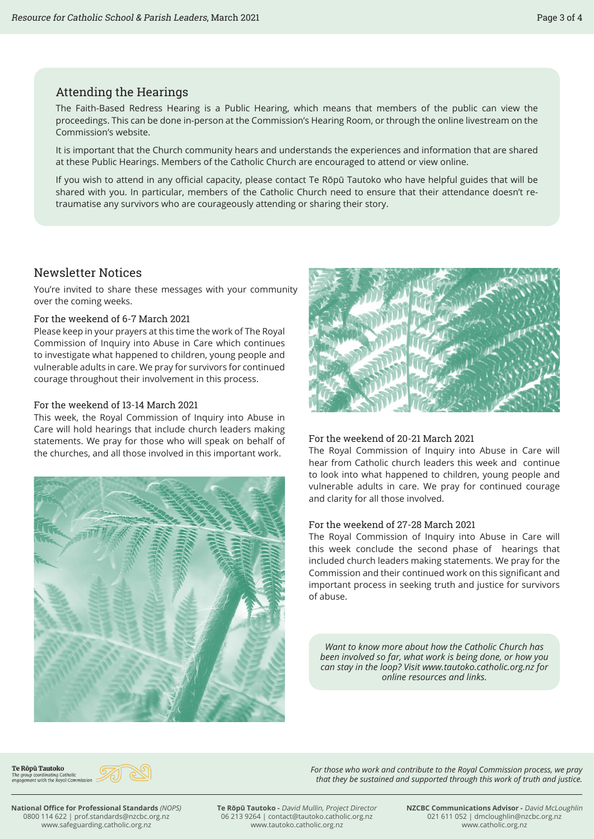## Attending the Hearings

The Faith-Based Redress Hearing is a Public Hearing, which means that members of the public can view the proceedings. This can be done in-person at the Commission's Hearing Room, or through the online livestream on the Commission's website.

It is important that the Church community hears and understands the experiences and information that are shared at these Public Hearings. Members of the Catholic Church are encouraged to attend or view online.

If you wish to attend in any official capacity, please contact Te Rōpū Tautoko who have helpful guides that will be shared with you. In particular, members of the Catholic Church need to ensure that their attendance doesn't retraumatise any survivors who are courageously attending or sharing their story.

# Newsletter Notices

You're invited to share these messages with your community over the coming weeks.

#### For the weekend of 6-7 March 2021

Please keep in your prayers at this time the work of The Royal Commission of Inquiry into Abuse in Care which continues to investigate what happened to children, young people and vulnerable adults in care. We pray for survivors for continued courage throughout their involvement in this process.

#### For the weekend of 13-14 March 2021

This week, the Royal Commission of Inquiry into Abuse in Care will hold hearings that include church leaders making statements. We pray for those who will speak on behalf of the churches, and all those involved in this important work.





#### For the weekend of 20-21 March 2021

The Royal Commission of Inquiry into Abuse in Care will hear from Catholic church leaders this week and continue to look into what happened to children, young people and vulnerable adults in care. We pray for continued courage and clarity for all those involved.

#### For the weekend of 27-28 March 2021

The Royal Commission of Inquiry into Abuse in Care will this week conclude the second phase of hearings that included church leaders making statements. We pray for the Commission and their continued work on this significant and important process in seeking truth and justice for survivors of abuse.

*Want to know more about how the Catholic Church has been involved so far, what work is being done, or how you can stay in the loop? Visit www.tautoko.catholic.org.nz for online resources and links.*

*For those who work and contribute to the Royal Commission process, we pray that they be sustained and supported through this work of truth and justice.*

Te Rōpū Tautoko The group coordinating Catholic<br>engagement with the Royal Commission



**National Office for Professional Standards** *(NOPS)* 0800 114 622 | prof.standards@nzcbc.org.nz www.safeguarding.catholic.org.nz

**Te Rōpū Tautoko -** David Mullin, Project Director 06 213 9264 | contact@tautoko.catholic.org.nz www.tautoko.catholic.org.nz

**NZCBC Communications Advisor -** David McLoughlin 021 611 052 | dmcloughlin@nzcbc.org.nz www.catholic.org.nz